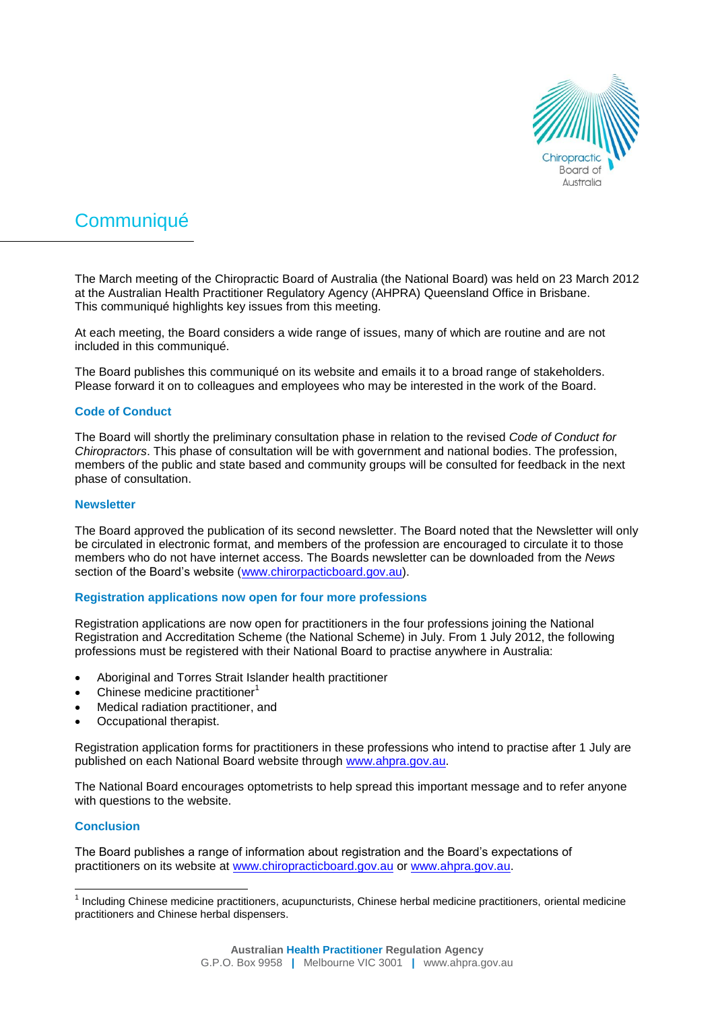

# **Communiqué**

The March meeting of the Chiropractic Board of Australia (the National Board) was held on 23 March 2012 at the Australian Health Practitioner Regulatory Agency (AHPRA) Queensland Office in Brisbane. This communiqué highlights key issues from this meeting.

At each meeting, the Board considers a wide range of issues, many of which are routine and are not included in this communiqué.

The Board publishes this communiqué on its website and emails it to a broad range of stakeholders. Please forward it on to colleagues and employees who may be interested in the work of the Board.

### **Code of Conduct**

The Board will shortly the preliminary consultation phase in relation to the revised *Code of Conduct for Chiropractors*. This phase of consultation will be with government and national bodies. The profession, members of the public and state based and community groups will be consulted for feedback in the next phase of consultation.

#### **Newsletter**

The Board approved the publication of its second newsletter. The Board noted that the Newsletter will only be circulated in electronic format, and members of the profession are encouraged to circulate it to those members who do not have internet access. The Boards newsletter can be downloaded from the *News*  section of the Board's website [\(www.chirorpacticboard.gov.au\)](http://www.chirorpacticboard.gov.au/).

#### **Registration applications now open for four more professions**

Registration applications are now open for practitioners in the four professions joining the National Registration and Accreditation Scheme (the National Scheme) in July. From 1 July 2012, the following professions must be registered with their National Board to practise anywhere in Australia:

- Aboriginal and Torres Strait Islander health practitioner
- $\bullet$  Chinese medicine practitioner<sup>1</sup>
- Medical radiation practitioner, and
- Occupational therapist.

Registration application forms for practitioners in these professions who intend to practise after 1 July are published on each National Board website through [www.ahpra.gov.au.](http://www.ahpra.gov.au/)

The National Board encourages optometrists to help spread this important message and to refer anyone with questions to the website.

#### **Conclusion**

l

The Board publishes a range of information about registration and the Board's expectations of practitioners on its website at [www.chiropracticboard.gov.au](http://www.chiropracticboard.gov.au/) or [www.ahpra.gov.au.](http://www.ahpra.gov.au/)

<sup>&</sup>lt;sup>1</sup> Including Chinese medicine practitioners, acupuncturists, Chinese herbal medicine practitioners, oriental medicine practitioners and Chinese herbal dispensers.